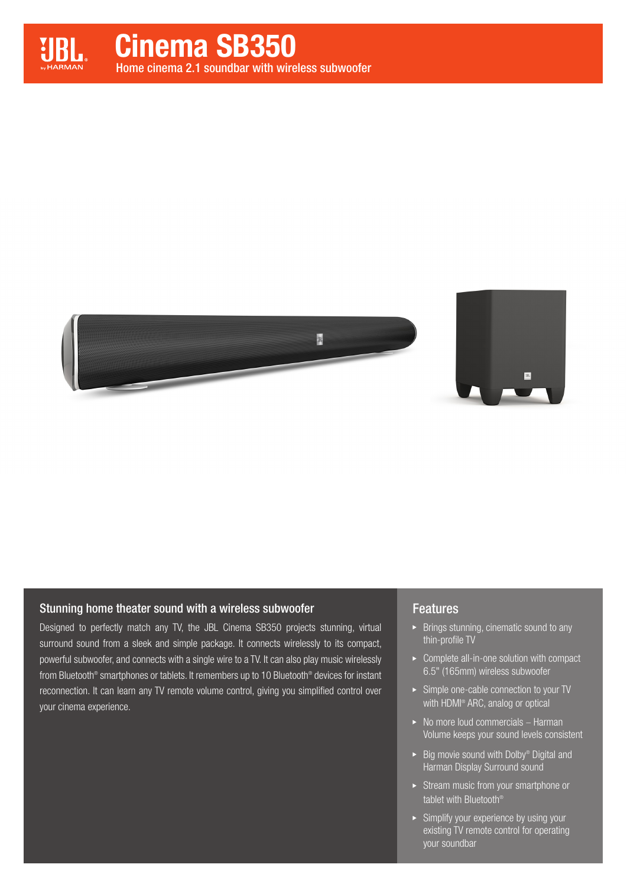



# Stunning home theater sound with a wireless subwoofer

Designed to perfectly match any TV, the JBL Cinema SB350 projects stunning, virtual surround sound from a sleek and simple package. It connects wirelessly to its compact, powerful subwoofer, and connects with a single wire to a TV. It can also play music wirelessly from Bluetooth® smartphones or tablets. It remembers up to 10 Bluetooth® devices for instant reconnection. It can learn any TV remote volume control, giving you simplified control over your cinema experience.

# Features

- Brings stunning, cinematic sound to any thin-profile TV
- ▶ Complete all-in-one solution with compact 6.5" (165mm) wireless subwoofer
- Simple one-cable connection to your TV with HDMI<sup>®</sup> ARC, analog or optical
- $\blacktriangleright$  No more loud commercials Harman Volume keeps your sound levels consistent
- $\blacktriangleright$  Big movie sound with Dolby® Digital and Harman Display Surround sound
- Stream music from your smartphone or tablet with Bluetooth®
- $\triangleright$  Simplify your experience by using your existing TV remote control for operating your soundbar